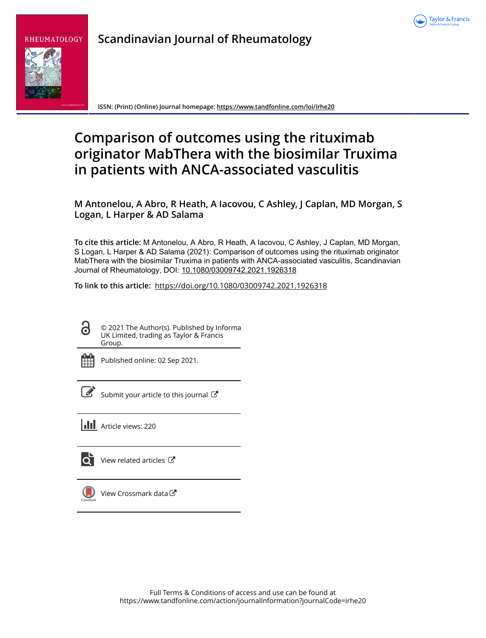

## **Scandinavian Journal of Rheumatology**



**ISSN: (Print) (Online) Journal homepage:<https://www.tandfonline.com/loi/irhe20>**

# **Comparison of outcomes using the rituximab originator MabThera with the biosimilar Truxima in patients with ANCA-associated vasculitis**

**M Antonelou, A Abro, R Heath, A Iacovou, C Ashley, J Caplan, MD Morgan, S Logan, L Harper & AD Salama**

**To cite this article:** M Antonelou, A Abro, R Heath, A Iacovou, C Ashley, J Caplan, MD Morgan, S Logan, L Harper & AD Salama (2021): Comparison of outcomes using the rituximab originator MabThera with the biosimilar Truxima in patients with ANCA-associated vasculitis, Scandinavian Journal of Rheumatology, DOI: [10.1080/03009742.2021.1926318](https://www.tandfonline.com/action/showCitFormats?doi=10.1080/03009742.2021.1926318)

**To link to this article:** <https://doi.org/10.1080/03009742.2021.1926318>

© 2021 The Author(s). Published by Informa UK Limited, trading as Taylor & Francis Group.

ര

Published online: 02 Sep 2021.

[Submit your article to this journal](https://www.tandfonline.com/action/authorSubmission?journalCode=irhe20&show=instructions)  $\mathbb{Z}$ 

**Article views: 220** 



[View related articles](https://www.tandfonline.com/doi/mlt/10.1080/03009742.2021.1926318)  $\mathbb{Z}$ 



 $\bigcirc$  [View Crossmark data](http://crossmark.crossref.org/dialog/?doi=10.1080/03009742.2021.1926318&domain=pdf&date_stamp=2021-09-02) $\mathbb{C}$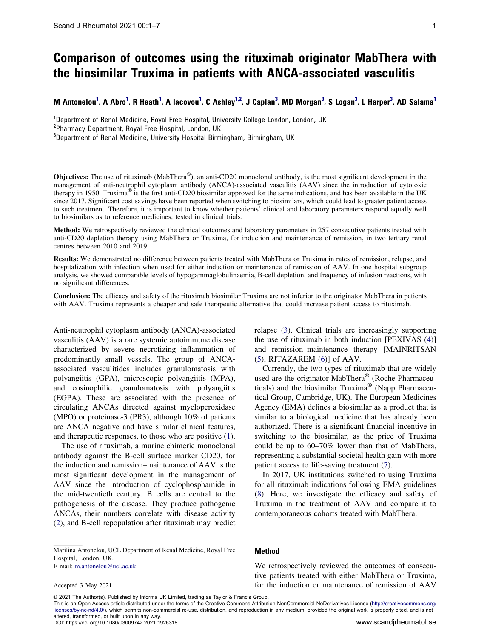### **Comparison of outcomes using the rituximab originator MabThera with the biosimilar Truxima in patients with ANCA-associated vasculitis**

M Antonelou<sup>[1](#page-1-0)</sup>, A Abro<sup>1</sup>, R Heath<sup>1</sup>, A Iacovou<sup>1</sup>, C Ashley<sup>1,2</sup>, J Caplan<sup>[3](#page-1-2)</sup>, MD Morgan<sup>3</sup>, S Logan<sup>3</sup>, L Harper<sup>3</sup>, AD Salama<sup>1</sup>

<span id="page-1-2"></span><span id="page-1-1"></span><span id="page-1-0"></span><sup>1</sup>Department of Renal Medicine, Royal Free Hospital, University College London, London, UK<br><sup>2</sup>Pharmacy Department, Royal Free Hospital, London, UK <sup>2</sup>Pharmacy Department, Royal Free Hospital, London, UK  $3$ Department of Renal Medicine, University Hospital Birmingham, Birmingham, UK

**Objectives:** The use of rituximab (MabThera®), an anti-CD20 monoclonal antibody, is the most significant development in the management of anti-neutrophil cytoplasm antibody (ANCA)-associated vasculitis (AAV) since the introduction of cytotoxic therapy in 1950. Truxima® is the first anti-CD20 biosimilar approved for the same indications, and has been available in the UK since 2017. Significant cost savings have been reported when switching to biosimilars, which could lead to greater patient access to such treatment. Therefore, it is important to know whether patients' clinical and laboratory parameters respond equally well to biosimilars as to reference medicines, tested in clinical trials.

**Method:** We retrospectively reviewed the clinical outcomes and laboratory parameters in 257 consecutive patients treated with anti-CD20 depletion therapy using MabThera or Truxima, for induction and maintenance of remission, in two tertiary renal centres between 2010 and 2019.

**Results:** We demonstrated no difference between patients treated with MabThera or Truxima in rates of remission, relapse, and hospitalization with infection when used for either induction or maintenance of remission of AAV. In one hospital subgroup analysis, we showed comparable levels of hypogammaglobulinaemia, B-cell depletion, and frequency of infusion reactions, with no significant differences.

**Conclusion:** The efficacy and safety of the rituximab biosimilar Truxima are not inferior to the originator MabThera in patients with AAV. Truxima represents a cheaper and safe therapeutic alternative that could increase patient access to rituximab.

Anti-neutrophil cytoplasm antibody (ANCA)-associated vasculitis (AAV) is a rare systemic autoimmune disease characterized by severe necrotizing inflammation of predominantly small vessels. The group of ANCAassociated vasculitides includes granulomatosis with polyangiitis (GPA), microscopic polyangiitis (MPA), and eosinophilic granulomatosis with polyangiitis (EGPA). These are associated with the presence of circulating ANCAs directed against myeloperoxidase (MPO) or proteinase-3 (PR3), although 10% of patients are ANCA negative and have similar clinical features, and therapeutic responses, to those who are positive ([1\)](#page-6-0).

<span id="page-1-3"></span>The use of rituximab, a murine chimeric monoclonal antibody against the B-cell surface marker CD20, for the induction and remission–maintenance of AAV is the most significant development in the management of AAV since the introduction of cyclophosphamide in the mid-twentieth century. B cells are central to the pathogenesis of the disease. They produce pathogenic ANCAs, their numbers correlate with disease activity ([2\)](#page-6-1), and B-cell repopulation after rituximab may predict

<span id="page-1-4"></span>Marilina Antonelou, UCL Department of Renal Medicine, Royal Free Hospital, London, UK.

E-mail: m.antonelou@ucl.ac.uk

Accepted 3 May 2021

<span id="page-1-6"></span><span id="page-1-5"></span>relapse [\(3](#page-6-2)). Clinical trials are increasingly supporting the use of rituximab in both induction [PEXIVAS [\(4](#page-6-3))] and remission–maintenance therapy [MAINRITSAN [\(5](#page-6-4)), RITAZAREM [\(6](#page-6-5))] of AAV.

<span id="page-1-7"></span>Currently, the two types of rituximab that are widely used are the originator MabThera® (Roche Pharmaceuticals) and the biosimilar Truxima® (Napp Pharmaceutical Group, Cambridge, UK). The European Medicines Agency (EMA) defines a biosimilar as a product that is similar to a biological medicine that has already been authorized. There is a significant financial incentive in switching to the biosimilar, as the price of Truxima could be up to 60–70% lower than that of MabThera, representing a substantial societal health gain with more patient access to life-saving treatment ([7\)](#page-6-6).

<span id="page-1-9"></span><span id="page-1-8"></span>In 2017, UK institutions switched to using Truxima for all rituximab indications following EMA guidelines [\(8](#page-6-7)). Here, we investigate the efficacy and safety of Truxima in the treatment of AAV and compare it to contemporaneous cohorts treated with MabThera.

#### **Method**

We retrospectively reviewed the outcomes of consecutive patients treated with either MabThera or Truxima, for the induction or maintenance of remission of AAV

© 2021 The Author(s). Published by Informa UK Limited, trading as Taylor & Francis Group.

This is an Open Access article distributed under the terms of the Creative Commons Attribution-NonCommercial-NoDerivatives License (http://creativecommons.org/ licenses/by-nc-nd/4.0/), which permits non-commercial re-use, distribution, and reproduction in any medium, provided the original work is properly cited, and is not altered, transformed, or built upon in any way.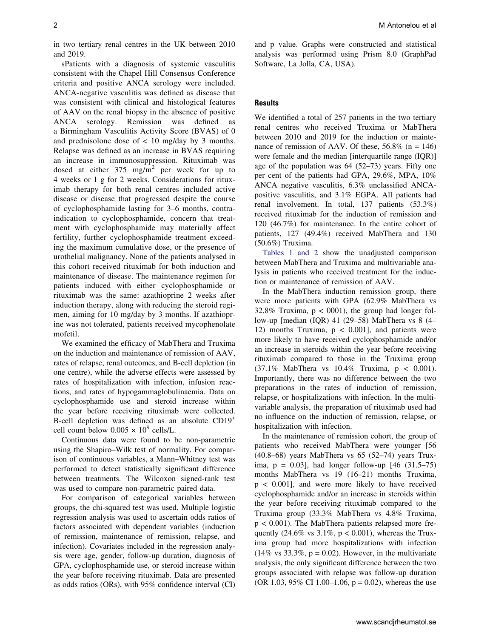in two tertiary renal centres in the UK between 2010 and 2019.

sPatients with a diagnosis of systemic vasculitis consistent with the Chapel Hill Consensus Conference criteria and positive ANCA serology were included. ANCA-negative vasculitis was defined as disease that was consistent with clinical and histological features of AAV on the renal biopsy in the absence of positive ANCA serology. Remission was defined as a Birmingham Vasculitis Activity Score (BVAS) of 0 and prednisolone dose of  $\lt$  10 mg/day by 3 months. Relapse was defined as an increase in BVAS requiring an increase in immunosuppression. Rituximab was dosed at either 375 mg/m2 per week for up to 4 weeks or 1 g for 2 weeks. Considerations for rituximab therapy for both renal centres included active disease or disease that progressed despite the course of cyclophosphamide lasting for 3–6 months, contraindication to cyclophosphamide, concern that treatment with cyclophosphamide may materially affect fertility, further cyclophosphamide treatment exceeding the maximum cumulative dose, or the presence of urothelial malignancy. None of the patients analysed in this cohort received rituximab for both induction and maintenance of disease. The maintenance regimen for patients induced with either cyclophosphamide or rituximab was the same: azathioprine 2 weeks after induction therapy, along with reducing the steroid regimen, aiming for 10 mg/day by 3 months. If azathioprine was not tolerated, patients received mycophenolate mofetil.

We examined the efficacy of MabThera and Truxima on the induction and maintenance of remission of AAV, rates of relapse, renal outcomes, and B-cell depletion (in one centre), while the adverse effects were assessed by rates of hospitalization with infection, infusion reactions, and rates of hypogammaglobulinaemia. Data on cyclophosphamide use and steroid increase within the year before receiving rituximab were collected. B-cell depletion was defined as an absolute CD19+ cell count below  $0.005 \times 10^9$  cells/L.

Continuous data were found to be non-parametric using the Shapiro–Wilk test of normality. For comparison of continuous variables, a Mann–Whitney test was performed to detect statistically significant difference between treatments. The Wilcoxon signed-rank test was used to compare non-parametric paired data.

For comparison of categorical variables between groups, the chi-squared test was used. Multiple logistic regression analysis was used to ascertain odds ratios of factors associated with dependent variables (induction of remission, maintenance of remission, relapse, and infection). Covariates included in the regression analysis were age, gender, follow-up duration, diagnosis of GPA, cyclophosphamide use, or steroid increase within the year before receiving rituximab. Data are presented as odds ratios (ORs), with 95% confidence interval (CI) and p value. Graphs were constructed and statistical analysis was performed using Prism 8.0 (GraphPad Software, La Jolla, CA, USA).

#### **Results**

We identified a total of 257 patients in the two tertiary renal centres who received Truxima or MabThera between 2010 and 2019 for the induction or maintenance of remission of AAV. Of these,  $56.8\%$  (n = 146) were female and the median [interquartile range (IQR)] age of the population was 64 (52–73) years. Fifty one per cent of the patients had GPA, 29.6%, MPA, 10% ANCA negative vasculitis, 6.3% unclassified ANCApositive vasculitis, and 3.1% EGPA. All patients had renal involvement. In total, 137 patients (53.3%) received rituximab for the induction of remission and 120 (46.7%) for maintenance. In the entire cohort of patients, 127 (49.4%) received MabThera and 130 (50.6%) Truxima.

[Tables 1 and 2](#page-3-0) show the unadjusted comparison between MabThera and Truxima and multivariable analysis in patients who received treatment for the induction or maintenance of remission of AAV.

In the MabThera induction remission group, there were more patients with GPA (62.9% MabThera vs 32.8% Truxima,  $p < 0001$ ), the group had longer follow-up [median (IQR) 41 (29–58) MabThera vs 8 (4– 12) months Truxima,  $p < 0.001$ , and patients were more likely to have received cyclophosphamide and/or an increase in steroids within the year before receiving rituximab compared to those in the Truxima group (37.1% MabThera vs 10.4% Truxima, p < 0.001). Importantly, there was no difference between the two preparations in the rates of induction of remission, relapse, or hospitalizations with infection. In the multivariable analysis, the preparation of rituximab used had no influence on the induction of remission, relapse, or hospitalization with infection.

In the maintenance of remission cohort, the group of patients who received MabThera were younger [56 (40.8–68) years MabThera vs 65 (52–74) years Truxima,  $p = 0.03$ ], had longer follow-up  $[46 (31.5–75)]$ months MabThera vs 19 (16–21) months Truxima, p < 0.001], and were more likely to have received cyclophosphamide and/or an increase in steroids within the year before receiving rituximab compared to the Truxima group (33.3% MabThera vs 4.8% Truxima, p < 0.001). The MabThera patients relapsed more frequently  $(24.6\% \text{ vs } 3.1\%, \text{ p} < 0.001)$ , whereas the Truxima group had more hospitalizations with infection  $(14\% \text{ vs } 33.3\%, \text{ p} = 0.02)$ . However, in the multivariate analysis, the only significant difference between the two groups associated with relapse was follow-up duration (OR 1.03, 95% CI 1.00–1.06,  $p = 0.02$ ), whereas the use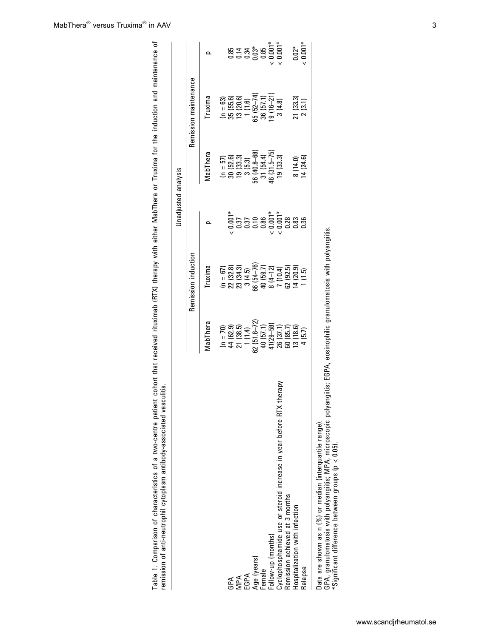|                                                                                                                                                                                                                                                 |                                                                                                                                                                                                                                                                             |                                                                                                                                                                                                                                                                                                                                                                                                                       |                                                                                                                                                                                                                                                                                            | Unadjusted analysis                                    |                                                 |                                                                                                  |
|-------------------------------------------------------------------------------------------------------------------------------------------------------------------------------------------------------------------------------------------------|-----------------------------------------------------------------------------------------------------------------------------------------------------------------------------------------------------------------------------------------------------------------------------|-----------------------------------------------------------------------------------------------------------------------------------------------------------------------------------------------------------------------------------------------------------------------------------------------------------------------------------------------------------------------------------------------------------------------|--------------------------------------------------------------------------------------------------------------------------------------------------------------------------------------------------------------------------------------------------------------------------------------------|--------------------------------------------------------|-------------------------------------------------|--------------------------------------------------------------------------------------------------|
|                                                                                                                                                                                                                                                 |                                                                                                                                                                                                                                                                             | Remission induction                                                                                                                                                                                                                                                                                                                                                                                                   |                                                                                                                                                                                                                                                                                            |                                                        | Remission maintenance                           |                                                                                                  |
|                                                                                                                                                                                                                                                 | MabThera                                                                                                                                                                                                                                                                    | <b>Truxima</b>                                                                                                                                                                                                                                                                                                                                                                                                        |                                                                                                                                                                                                                                                                                            | <b><i>MabThera</i></b>                                 | <b>Truxima</b>                                  |                                                                                                  |
|                                                                                                                                                                                                                                                 |                                                                                                                                                                                                                                                                             |                                                                                                                                                                                                                                                                                                                                                                                                                       |                                                                                                                                                                                                                                                                                            | $(n = 57)$                                             |                                                 |                                                                                                  |
| GPA                                                                                                                                                                                                                                             | $\begin{array}{l} (1) = 70) \\ 44 & (62.9) \\ 21 & (38.5) \\ 7 & (1.4) \\ 62 & (51.4) \\ 62 & (51.3-72) \\ 62 & (51.3-72) \\ 41 & (29-58) \\ 41 & (29-58) \\ 65 & (37.1) \\ 66 & (37.1) \\ 76 & (38.5) \\ 77 & (38.6) \\ 78 & (37.1) \\ 4 & (5.7) \\ 4 & (5.7) \end{array}$ |                                                                                                                                                                                                                                                                                                                                                                                                                       |                                                                                                                                                                                                                                                                                            |                                                        | $(n = 63)$<br>35 (55.6)<br>13 (20.6)<br>1 (1.6) |                                                                                                  |
| MPA                                                                                                                                                                                                                                             |                                                                                                                                                                                                                                                                             |                                                                                                                                                                                                                                                                                                                                                                                                                       |                                                                                                                                                                                                                                                                                            | $30(52.6)$<br>$19(33.3)$<br>$3(5.3)$                   |                                                 |                                                                                                  |
| EGPA                                                                                                                                                                                                                                            |                                                                                                                                                                                                                                                                             |                                                                                                                                                                                                                                                                                                                                                                                                                       |                                                                                                                                                                                                                                                                                            |                                                        |                                                 |                                                                                                  |
| Age (years)                                                                                                                                                                                                                                     |                                                                                                                                                                                                                                                                             |                                                                                                                                                                                                                                                                                                                                                                                                                       |                                                                                                                                                                                                                                                                                            |                                                        | 65 (52-74)<br>36 (57.1)<br>19 (16-21)           |                                                                                                  |
| Female                                                                                                                                                                                                                                          |                                                                                                                                                                                                                                                                             |                                                                                                                                                                                                                                                                                                                                                                                                                       |                                                                                                                                                                                                                                                                                            |                                                        |                                                 |                                                                                                  |
| Follow-up (months)                                                                                                                                                                                                                              |                                                                                                                                                                                                                                                                             |                                                                                                                                                                                                                                                                                                                                                                                                                       |                                                                                                                                                                                                                                                                                            |                                                        |                                                 |                                                                                                  |
| therapy<br>Cyclophosphamide use or steroid increase in year before RTX                                                                                                                                                                          |                                                                                                                                                                                                                                                                             |                                                                                                                                                                                                                                                                                                                                                                                                                       | $\begin{array}{l} * \\ 0.001* \\ 0.37 \\ 0.37 \\ 0.37 \\ 0.01 \\ 0.0001* \\ 0.0001* \\ 0.0001* \\ 0.0003* \\ 0.0003* \\ 0.0003* \\ 0.0003* \\ 0.0003* \\ 0.0003* \\ 0.0003* \\ 0.0003* \\ 0.0003* \\ 0.0003* \\ 0.0003* \\ 0.0003* \\ 0.0003* \\ 0.0003* \\ 0.0003* \\ 0.0003* \\ 0.0003*$ | 56 (40.8–68)<br>31 (54.4)<br>46 (31.5–75)<br>19 (33.3) | 3(4.8)                                          | $\begin{array}{l} 0.85 \\ 0.74 \\ -0.34 \\ 0.03 \\ -0.001^* \\ -0.001^* \\ -0.001^* \end{array}$ |
| Remission achieved at 3 months                                                                                                                                                                                                                  |                                                                                                                                                                                                                                                                             |                                                                                                                                                                                                                                                                                                                                                                                                                       |                                                                                                                                                                                                                                                                                            |                                                        |                                                 |                                                                                                  |
| Hospitalization with infection                                                                                                                                                                                                                  |                                                                                                                                                                                                                                                                             |                                                                                                                                                                                                                                                                                                                                                                                                                       |                                                                                                                                                                                                                                                                                            |                                                        |                                                 |                                                                                                  |
| Relapse                                                                                                                                                                                                                                         |                                                                                                                                                                                                                                                                             | $\begin{array}{rcl} \begin{array}{l} \text{(b)} & = & 67 \\ \text{(c)} & = & 67 \\ \text{(d)} & = & 12.8 \\ \text{(e)} & = & 12.8 \\ \text{(f)} & = & 12.7 \\ \text{(g)} & = & 12.7 \\ \text{(h)} & = & 12.7 \\ \text{(i)} & = & 12.7 \\ \text{(j)} & = & 12.7 \\ \text{(k)} & = & 12.7 \\ \text{(l)} & = & 12.7 \\ \text{(m)} & = & 12.8 \\ \text{(m)} & = & 12.8 \\ \text{(m)} & = & 12.8 \\ \text{(m)} & = & 12.8$ |                                                                                                                                                                                                                                                                                            | 8 (14.0)<br>14 (24.6)                                  | 21 (33.3)<br>2 (3.1)                            | $0.02^{*}$<br>< $0.001^{*}$                                                                      |
| GPA, granulomatosis with polyangiitis; MPA, microscopic polyangiitis; EGPA, eosinophilic granulomatosis with polyangiitis.<br>Data are shown as n (%) or median (interquartile range).<br>$*$ Significant difference between groups (p < 0.05). |                                                                                                                                                                                                                                                                             |                                                                                                                                                                                                                                                                                                                                                                                                                       |                                                                                                                                                                                                                                                                                            |                                                        |                                                 |                                                                                                  |

<span id="page-3-0"></span>Table 1. Comparison of characteristics of a two-centre patient cohort that received rituximab (RTX) therapy with either MabThera or Truxima for the induction and maintenance of

Table 1. Comparison of characteristics of a two-centre patient cohort that received rituximab (RTX) therapy with either MabThera or Truxima for the induction and maintenance of<br>remission of anti-neutrophil cytoplasm antibo

remission of anti-neutrophil cytoplasm antibody-associated vasculitis.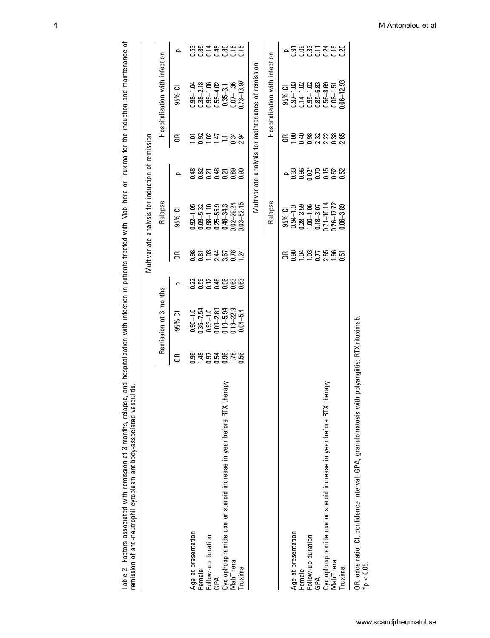| remission of anti-neutrophii cytoplasm antibody-associated vasculitis  |          |                                |                                                |                        |                                                                         |                                         |         |                                                                  |                           |
|------------------------------------------------------------------------|----------|--------------------------------|------------------------------------------------|------------------------|-------------------------------------------------------------------------|-----------------------------------------|---------|------------------------------------------------------------------|---------------------------|
|                                                                        |          |                                |                                                |                        | Multivariate analysis for induction of remission                        |                                         |         |                                                                  |                           |
|                                                                        |          | Remission at 3 months          |                                                |                        | Relapse                                                                 |                                         |         | Hospitalization with infection                                   |                           |
|                                                                        | Б        | 95% CI                         | ᅌ                                              | g                      | 95% CI                                                                  | ᇰ                                       | Б       | 95% CI                                                           | Q                         |
| Age at presentation                                                    | 3.<br>3. | $0.90 - 1.0$                   |                                                |                        | $0.92 - 1.05$                                                           |                                         |         | $0.98 - 1.04$                                                    |                           |
| Female                                                                 |          | $0.36 - 7.54$                  |                                                |                        | $0.09 - 5.32$                                                           |                                         |         | $0.38 - 2.18$                                                    |                           |
| Follow-up duration                                                     |          | $0.93 - 1.0$                   |                                                |                        | $0.98 - 1.10$                                                           |                                         |         | $0.99 - 1.06$                                                    |                           |
| GPA                                                                    |          | $0.09 - 2.89$                  |                                                |                        | $0.25 - 55.9$                                                           |                                         |         | $0.55 - 4.02$                                                    |                           |
| therapy<br>Cyclophosphamide use or steroid increase in year before RTX |          |                                |                                                |                        | $0.48 - 34.3$                                                           |                                         |         | $0.35 - 3.1$                                                     |                           |
| MabThera                                                               | 28578888 | $0.19 - 5.94$<br>$0.18 - 22.9$ | ន្តួន ដូច ទី ទី ទី ទី<br>ដូច ទី ទី ទី ទី ទី ទី | 8583582<br>85835       | $0.02 - 29.24$                                                          | ទី<br>ទីនីបន្ទីបន្ទិន្ទ                 | 들음음두드음음 | $0.07 - 1.36$                                                    |                           |
| Truxima                                                                |          | $0.04 - 5.4$                   |                                                |                        | $0.03 - 52.45$                                                          |                                         |         | $1.73 - 13.97$                                                   |                           |
|                                                                        |          |                                |                                                |                        |                                                                         |                                         |         | Multivariate analysis for maintenance of remission               |                           |
|                                                                        |          |                                |                                                |                        | Relapse                                                                 |                                         |         | Hospitalization with infection                                   |                           |
|                                                                        |          |                                |                                                |                        | 95% CI                                                                  |                                         |         | 95% CI                                                           |                           |
| Age at presentation                                                    |          |                                |                                                | ៩ទីទីនី5នីទី<br>៩៩១៩៩៩ |                                                                         | - 83 8 % R 5 8 8 8<br>- 8 9 % R 5 8 8 8 |         |                                                                  | - តូ ទី នី ៑ ៑ ጟ ៑ ៑ ឨ នី |
|                                                                        |          |                                |                                                |                        |                                                                         |                                         |         | $0.97 - 1.03$<br>$0.14 - 1.02$<br>$0.95 - 1.02$<br>$0.85 - 6.83$ |                           |
| Female<br>Follow-up duration<br>GPA                                    |          |                                |                                                |                        |                                                                         |                                         |         |                                                                  |                           |
|                                                                        |          |                                |                                                |                        | $0.94-1.0$<br>$0.28-3.59$<br>$1.00-1.06$<br>$0.18-3.07$<br>$0.71-10.14$ |                                         |         |                                                                  |                           |
| therapy<br>Cyclophosphamide use or steroid increase in year before RTX |          |                                |                                                |                        |                                                                         |                                         |         | $0.56 - 8.69$                                                    |                           |
| MabThera                                                               |          |                                |                                                |                        | $0.26 - 17.72$                                                          |                                         |         | $0.08 - 1.51$                                                    |                           |
| Truxima                                                                |          |                                |                                                |                        | $0.06 - 3.89$                                                           |                                         |         | $0.66 - 12.93$                                                   |                           |

Table 2. Factors associated with remission at 3 months, relapse, and hospitalization with infection in patients treated with MabThera or Truxima for the induction and maintenance of Table 2. Factors associated with remission at 3 months, relapse, and hospitalization with infection in patients treated with MabThera or Truxima for the induction and maintenance of remission of anti-neutrophil cytoplasm antibody-associated vasculitis.

OR, odds ratio; CI, confidence interval; GPA, granulomatosis with polyangiitis; RTX,rituximab. OR, odds ratio; CI, confidence interval; GPA, granulomatosis with polyangiitis; RTX,rituximab.<br>\*p < 0.05.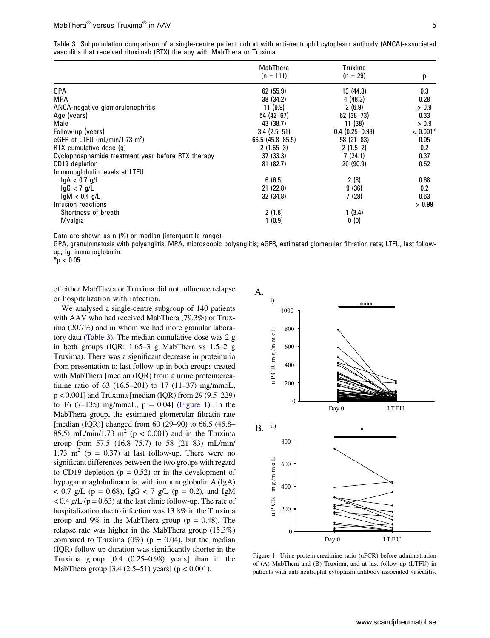<span id="page-5-0"></span>

|  |                                                                            |  |  | Table 3. Subpopulation comparison of a single-centre patient cohort with anti-neutrophil cytoplasm antibody (ANCA)-associated |
|--|----------------------------------------------------------------------------|--|--|-------------------------------------------------------------------------------------------------------------------------------|
|  | vasculitis that received rituximab (RTX) therapy with MabThera or Truxima. |  |  |                                                                                                                               |

|                                                    | MabThera            | Truxima            |            |
|----------------------------------------------------|---------------------|--------------------|------------|
|                                                    | $(n = 111)$         | $(n = 29)$         | р          |
| GPA                                                | 62 (55.9)           | 13 (44.8)          | 0.3        |
| MPA                                                | 38 (34.2)           | 4(48.3)            | 0.28       |
| ANCA-negative glomerulonephritis                   | 11(9.9)             | 2(6.9)             | > 0.9      |
| Age (years)                                        | $54(42-67)$         | $62(38-73)$        | 0.33       |
| Male                                               | 43 (38.7)           | 11(38)             | > 0.9      |
| Follow-up (years)                                  | $3.4(2.5-51)$       | $0.4(0.25 - 0.98)$ | $< 0.001*$ |
| eGFR at LTFU (mL/min/1.73 m <sup>2</sup> )         | $66.5(45.8 - 85.5)$ | $58(21-83)$        | 0.05       |
| RTX cumulative dose (q)                            | $2(1.65-3)$         | $2(1.5-2)$         | 0.2        |
| Cyclophosphamide treatment year before RTX therapy | 37(33.3)            | 7(24.1)            | 0.37       |
| CD19 depletion                                     | 81 (82.7)           | 20(90.9)           | 0.52       |
| Immunoglobulin levels at LTFU                      |                     |                    |            |
| $\lg A < 0.7$ g/L                                  | 6(6.5)              | 2(8)               | 0.68       |
| $\lg G$ < 7 $\lg L$                                | 21(22.8)            | 9(36)              | 0.2        |
| $lgM < 0.4$ g/L                                    | 32 (34.8)           | 7(28)              | 0.63       |
| Infusion reactions                                 |                     |                    | > 0.99     |
| Shortness of breath                                | 2(1.8)              | 1(3.4)             |            |
| Myalgia                                            | 1(0.9)              | 0(0)               |            |

Data are shown as n (%) or median (interquartile range).

GPA, granulomatosis with polyangiitis; MPA, microscopic polyangiitis; eGFR, estimated glomerular filtration rate; LTFU, last followup; Ig, immunoglobulin.

 $*$ p < 0.05.

of either MabThera or Truxima did not influence relapse or hospitalization with infection.

We analysed a single-centre subgroup of 140 patients with AAV who had received MabThera (79.3%) or Truxima (20.7%) and in whom we had more granular laboratory data [\(Table 3](#page-5-0)). The median cumulative dose was 2 g in both groups (IQR: 1.65–3 g MabThera vs 1.5–2 g Truxima). There was a significant decrease in proteinuria from presentation to last follow-up in both groups treated with MabThera [median (IQR) from a urine protein:creatinine ratio of 63  $(16.5–201)$  to 17  $(11–37)$  mg/mmoL, p < 0.001] and Truxima [median (IQR) from 29 (9.5–229) to 16 (7–135) mg/mmoL,  $p = 0.04$ ] [\(Figure 1](#page-5-1)). In the MabThera group, the estimated glomerular filtratin rate [median (IQR)] changed from 60 (29–90) to 66.5 (45.8– 85.5) mL/min/1.73 m<sup>2</sup> ( $p < 0.001$ ) and in the Truxima group from 57.5 (16.8–75.7) to 58 (21–83) mL/min/ 1.73 m<sup>2</sup> ( $p = 0.37$ ) at last follow-up. There were no significant differences between the two groups with regard to CD19 depletion  $(p = 0.52)$  or in the development of hypogammaglobulinaemia, with immunoglobulin A (IgA)  $< 0.7$  g/L (p = 0.68), IgG  $< 7$  g/L (p = 0.2), and IgM  $< 0.4$  g/L (p = 0.63) at the last clinic follow-up. The rate of hospitalization due to infection was 13.8% in the Truxima group and 9% in the MabThera group ( $p = 0.48$ ). The relapse rate was higher in the MabThera group (15.3%) compared to Truxima  $(0\%)$  (p = 0.04), but the median (IQR) follow-up duration was significantly shorter in the Truxima group [0.4 (0.25–0.98) years] than in the MabThera group [3.4 (2.5–51) years] (p < 0.001).



<span id="page-5-1"></span>Figure 1. Urine protein:creatinine ratio (uPCR) before administration of (A) MabThera and (B) Truxima, and at last follow-up (LTFU) in patients with anti-neutrophil cytoplasm antibody-associated vasculitis.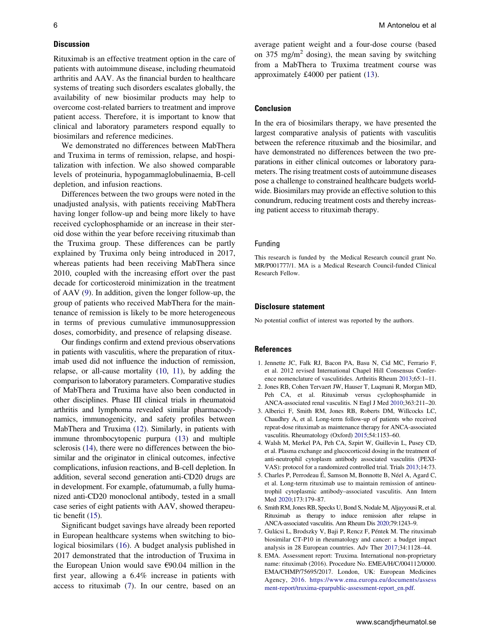### **Discussion**

Rituximab is an effective treatment option in the care of patients with autoimmune disease, including rheumatoid arthritis and AAV. As the financial burden to healthcare systems of treating such disorders escalates globally, the availability of new biosimilar products may help to overcome cost-related barriers to treatment and improve patient access. Therefore, it is important to know that clinical and laboratory parameters respond equally to biosimilars and reference medicines.

We demonstrated no differences between MabThera and Truxima in terms of remission, relapse, and hospitalization with infection. We also showed comparable levels of proteinuria, hypogammaglobulinaemia, B-cell depletion, and infusion reactions.

Differences between the two groups were noted in the unadjusted analysis, with patients receiving MabThera having longer follow-up and being more likely to have received cyclophosphamide or an increase in their steroid dose within the year before receiving rituximab than the Truxima group. These differences can be partly explained by Truxima only being introduced in 2017, whereas patients had been receiving MabThera since 2010, coupled with the increasing effort over the past decade for corticosteroid minimization in the treatment of AAV [\(9](#page-7-0)). In addition, given the longer follow-up, the group of patients who received MabThera for the maintenance of remission is likely to be more heterogeneous in terms of previous cumulative immunosuppression doses, comorbidity, and presence of relapsing disease.

<span id="page-6-10"></span><span id="page-6-9"></span><span id="page-6-8"></span>Our findings confirm and extend previous observations in patients with vasculitis, where the preparation of rituximab used did not influence the induction of remission, relapse, or all-cause mortality ([10](#page-7-1), [11](#page-7-2)), by adding the comparison to laboratory parameters. Comparative studies of MabThera and Truxima have also been conducted in other disciplines. Phase III clinical trials in rheumatoid arthritis and lymphoma revealed similar pharmacodynamics, immunogenicity, and safety profiles between MabThera and Truxima [\(12\)](#page-7-3). Similarly, in patients with immune thrombocytopenic purpura [\(13](#page-7-4)) and multiple sclerosis [\(14\)](#page-7-5), there were no differences between the biosimilar and the originator in clinical outcomes, infective complications, infusion reactions, and B-cell depletion. In addition, several second generation anti-CD20 drugs are in development. For example, ofatumumab, a fully humanized anti-CD20 monoclonal antibody, tested in a small case series of eight patients with AAV, showed therapeutic benefit ([15](#page-7-6)).

<span id="page-6-14"></span><span id="page-6-13"></span><span id="page-6-12"></span>Significant budget savings have already been reported in European healthcare systems when switching to biological biosimilars ([16\)](#page-7-7). A budget analysis published in 2017 demonstrated that the introduction of Truxima in the European Union would save €90.04 million in the first year, allowing a 6.4% increase in patients with access to rituximab [\(7\)](#page-6-6). In our centre, based on an <span id="page-6-11"></span>average patient weight and a four-dose course (based on 375 mg/m<sup>2</sup> dosing), the mean saving by switching from a MabThera to Truxima treatment course was approximately £4000 per patient ([13\)](#page-7-4).

#### **Conclusion**

In the era of biosimilars therapy, we have presented the largest comparative analysis of patients with vasculitis between the reference rituximab and the biosimilar, and have demonstrated no differences between the two preparations in either clinical outcomes or laboratory parameters. The rising treatment costs of autoimmune diseases pose a challenge to constrained healthcare budgets worldwide. Biosimilars may provide an effective solution to this conundrum, reducing treatment costs and thereby increasing patient access to rituximab therapy.

### Funding

This research is funded by the Medical Research council grant No. MR/P001777/1. MA is a Medical Research Council-funded Clinical Research Fellow.

#### **Disclosure statement**

No potential conflict of interest was reported by the authors.

#### **References**

- <span id="page-6-0"></span>1. Jennette JC, Falk RJ, Bacon PA, Basu N, Cid MC, Ferrario F, et al. 2012 revised International Chapel Hill Consensus Conference nomenclature of vasculitides. Arthritis Rheum [2013](#page-1-3);65:1–11.
- <span id="page-6-1"></span>2. Jones RB, Cohen Tervaert JW, Hauser T, Luqmani R, Morgan MD, Peh CA, et al. Rituximab versus cyclophosphamide in ANCA-associated renal vasculitis. N Engl J Med [2010](#page-1-4);363:211–20.
- <span id="page-6-2"></span>3. Alberici F, Smith RM, Jones RB, Roberts DM, Willcocks LC, Chaudhry A, et al. Long-term follow-up of patients who received repeat-dose rituximab as maintenance therapy for ANCA-associated vasculitis. Rheumatology (Oxford) [2015;](#page-1-5)54:1153–60.
- <span id="page-6-3"></span>4. Walsh M, Merkel PA, Peh CA, Szpirt W, Guillevin L, Pusey CD, et al. Plasma exchange and glucocorticoid dosing in the treatment of anti-neutrophil cytoplasm antibody associated vasculitis (PEXI-VAS): protocol for a randomized controlled trial. Trials [2013;](#page-1-6)14:73.
- <span id="page-6-4"></span>5. Charles P, Perrodeau É, Samson M, Bonnotte B, Néel A, Agard C, et al. Long-term rituximab use to maintain remission of antineutrophil cytoplasmic antibody–associated vasculitis. Ann Intern Med [2020](#page-1-7);173:179–87.
- <span id="page-6-5"></span>6. Smith RM, Jones RB, Specks U, Bond S, Nodale M, Aljayyousi R, et al. Rituximab as therapy to induce remission after relapse in ANCA-associated vasculitis. Ann Rheum Dis [2020;](#page-1-7)79:1243–9.
- <span id="page-6-6"></span>7. Gulácsi L, Brodszky V, Baji P, Rencz F, Péntek M. The rituximab biosimilar CT-P10 in rheumatology and cancer: a budget impact analysis in 28 European countries. Adv Ther [2017;](#page-1-8)34:1128–44.
- <span id="page-6-7"></span>8. EMA. Assessment report: Truxima. International non-proprietary name: rituximab (2016). Procedure No. EMEA/H/C/004112/0000. EMA/CHMP/75695/2017. London, UK: European Medicines Agency, [2016](#page-1-9). [https://www.ema.europa.eu/documents/assess](https://www.ema.europa.eu/documents/assessment-report/truxima-eparpublic-assessment-report_en.pdf) [ment-report/truxima-eparpublic-assessment-report\\_en.pdf.](https://www.ema.europa.eu/documents/assessment-report/truxima-eparpublic-assessment-report_en.pdf)